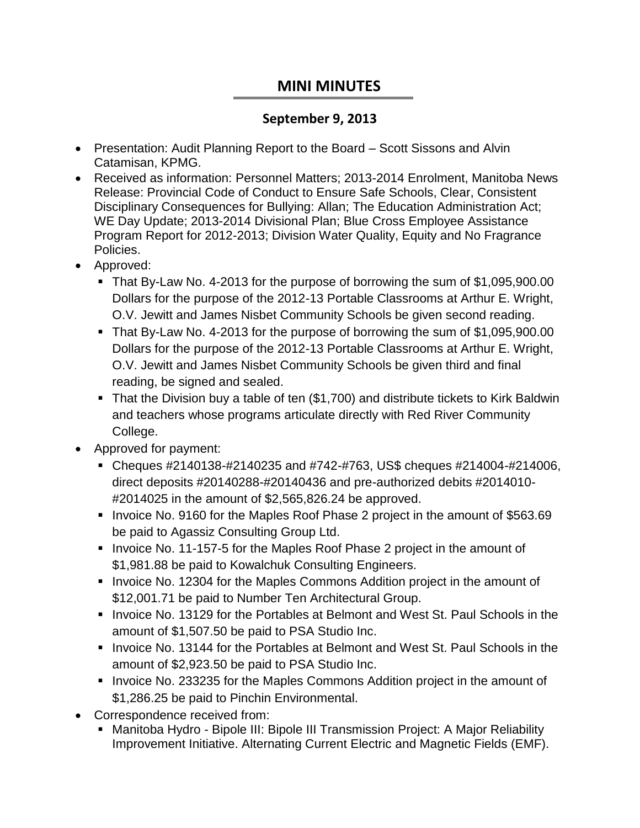## **MINI MINUTES**

## **September 9, 2013**

- Presentation: Audit Planning Report to the Board Scott Sissons and Alvin Catamisan, KPMG.
- Received as information: Personnel Matters; 2013-2014 Enrolment, Manitoba News Release: Provincial Code of Conduct to Ensure Safe Schools, Clear, Consistent Disciplinary Consequences for Bullying: Allan; The Education Administration Act; WE Day Update; 2013-2014 Divisional Plan; Blue Cross Employee Assistance Program Report for 2012-2013; Division Water Quality, Equity and No Fragrance Policies.
- Approved:
	- That By-Law No. 4-2013 for the purpose of borrowing the sum of \$1,095,900.00 Dollars for the purpose of the 2012-13 Portable Classrooms at Arthur E. Wright, O.V. Jewitt and James Nisbet Community Schools be given second reading.
	- That By-Law No. 4-2013 for the purpose of borrowing the sum of \$1,095,900.00 Dollars for the purpose of the 2012-13 Portable Classrooms at Arthur E. Wright, O.V. Jewitt and James Nisbet Community Schools be given third and final reading, be signed and sealed.
	- That the Division buy a table of ten (\$1,700) and distribute tickets to Kirk Baldwin and teachers whose programs articulate directly with Red River Community College.
- Approved for payment:
	- Cheques #2140138-#2140235 and #742-#763, US\$ cheques #214004-#214006, direct deposits #20140288-#20140436 and pre-authorized debits #2014010- #2014025 in the amount of \$2,565,826.24 be approved.
	- Invoice No. 9160 for the Maples Roof Phase 2 project in the amount of \$563.69 be paid to Agassiz Consulting Group Ltd.
	- Invoice No. 11-157-5 for the Maples Roof Phase 2 project in the amount of \$1,981.88 be paid to Kowalchuk Consulting Engineers.
	- Invoice No. 12304 for the Maples Commons Addition project in the amount of \$12,001.71 be paid to Number Ten Architectural Group.
	- **Invoice No. 13129 for the Portables at Belmont and West St. Paul Schools in the** amount of \$1,507.50 be paid to PSA Studio Inc.
	- **Invoice No. 13144 for the Portables at Belmont and West St. Paul Schools in the** amount of \$2,923.50 be paid to PSA Studio Inc.
	- **Invoice No. 233235 for the Maples Commons Addition project in the amount of** \$1,286.25 be paid to Pinchin Environmental.
- Correspondence received from:
	- Manitoba Hydro Bipole III: Bipole III Transmission Project: A Major Reliability Improvement Initiative. Alternating Current Electric and Magnetic Fields (EMF).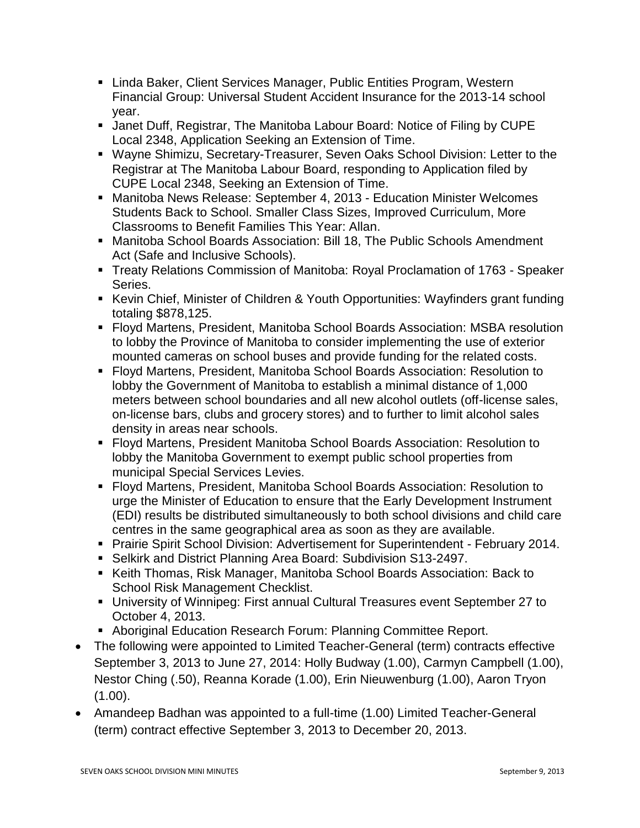- Linda Baker, Client Services Manager, Public Entities Program, Western Financial Group: Universal Student Accident Insurance for the 2013-14 school year.
- Janet Duff, Registrar, The Manitoba Labour Board: Notice of Filing by CUPE Local 2348, Application Seeking an Extension of Time.
- Wayne Shimizu, Secretary-Treasurer, Seven Oaks School Division: Letter to the Registrar at The Manitoba Labour Board, responding to Application filed by CUPE Local 2348, Seeking an Extension of Time.
- Manitoba News Release: September 4, 2013 Education Minister Welcomes Students Back to School. Smaller Class Sizes, Improved Curriculum, More Classrooms to Benefit Families This Year: Allan.
- Manitoba School Boards Association: Bill 18, The Public Schools Amendment Act (Safe and Inclusive Schools).
- Treaty Relations Commission of Manitoba: Royal Proclamation of 1763 Speaker Series.
- Kevin Chief, Minister of Children & Youth Opportunities: Wayfinders grant funding totaling \$878,125.
- Floyd Martens, President, Manitoba School Boards Association: MSBA resolution to lobby the Province of Manitoba to consider implementing the use of exterior mounted cameras on school buses and provide funding for the related costs.
- Floyd Martens, President, Manitoba School Boards Association: Resolution to lobby the Government of Manitoba to establish a minimal distance of 1,000 meters between school boundaries and all new alcohol outlets (off-license sales, on-license bars, clubs and grocery stores) and to further to limit alcohol sales density in areas near schools.
- Floyd Martens, President Manitoba School Boards Association: Resolution to lobby the Manitoba Government to exempt public school properties from municipal Special Services Levies.
- Floyd Martens, President, Manitoba School Boards Association: Resolution to urge the Minister of Education to ensure that the Early Development Instrument (EDI) results be distributed simultaneously to both school divisions and child care centres in the same geographical area as soon as they are available.
- **Prairie Spirit School Division: Advertisement for Superintendent February 2014.**
- Selkirk and District Planning Area Board: Subdivision S13-2497.
- Keith Thomas, Risk Manager, Manitoba School Boards Association: Back to School Risk Management Checklist.
- University of Winnipeg: First annual Cultural Treasures event September 27 to October 4, 2013.
- Aboriginal Education Research Forum: Planning Committee Report.
- The following were appointed to Limited Teacher-General (term) contracts effective September 3, 2013 to June 27, 2014: Holly Budway (1.00), Carmyn Campbell (1.00), Nestor Ching (.50), Reanna Korade (1.00), Erin Nieuwenburg (1.00), Aaron Tryon (1.00).
- Amandeep Badhan was appointed to a full-time (1.00) Limited Teacher-General (term) contract effective September 3, 2013 to December 20, 2013.